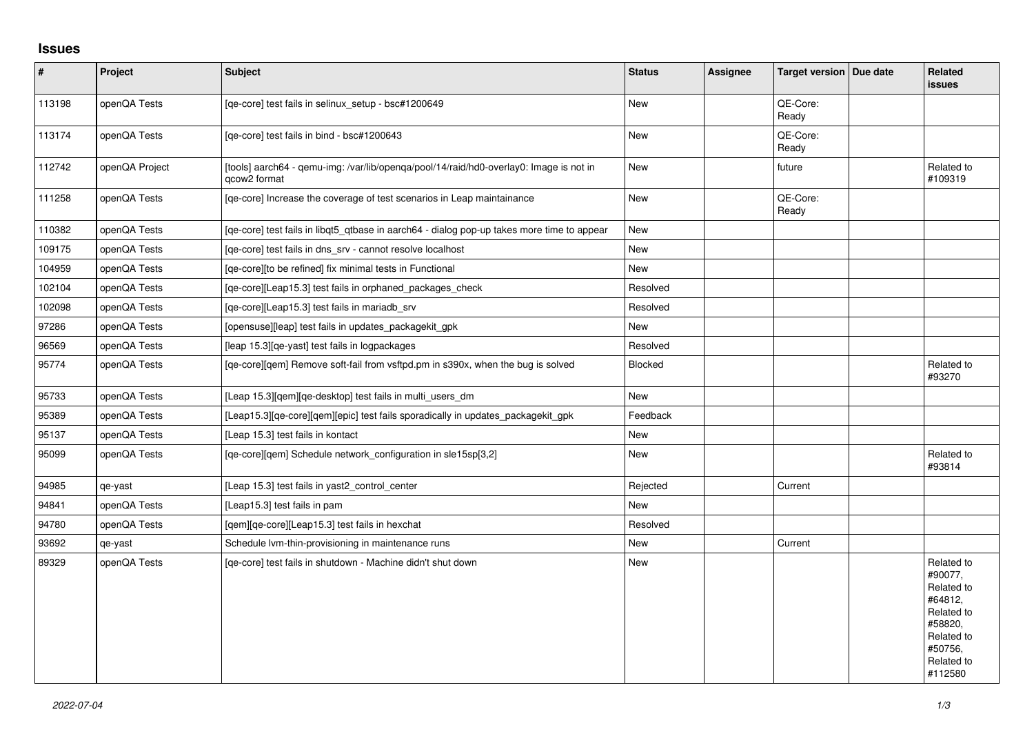## **Issues**

| $\vert$ # | Project        | <b>Subject</b>                                                                                                     | <b>Status</b> | <b>Assignee</b> | Target version   Due date | <b>Related</b><br>issues                                                                                                  |
|-----------|----------------|--------------------------------------------------------------------------------------------------------------------|---------------|-----------------|---------------------------|---------------------------------------------------------------------------------------------------------------------------|
| 113198    | openQA Tests   | [qe-core] test fails in selinux_setup - bsc#1200649                                                                | <b>New</b>    |                 | QE-Core:<br>Ready         |                                                                                                                           |
| 113174    | openQA Tests   | [qe-core] test fails in bind - bsc#1200643                                                                         | <b>New</b>    |                 | QE-Core:<br>Ready         |                                                                                                                           |
| 112742    | openQA Project | [tools] aarch64 - qemu-img: /var/lib/openqa/pool/14/raid/hd0-overlay0: Image is not in<br>gcow <sub>2</sub> format | <b>New</b>    |                 | future                    | Related to<br>#109319                                                                                                     |
| 111258    | openQA Tests   | [ge-core] Increase the coverage of test scenarios in Leap maintainance                                             | <b>New</b>    |                 | QE-Core:<br>Ready         |                                                                                                                           |
| 110382    | openQA Tests   | [qe-core] test fails in libqt5_qtbase in aarch64 - dialog pop-up takes more time to appear                         | <b>New</b>    |                 |                           |                                                                                                                           |
| 109175    | openQA Tests   | [qe-core] test fails in dns_srv - cannot resolve localhost                                                         | New           |                 |                           |                                                                                                                           |
| 104959    | openQA Tests   | [ge-core][to be refined] fix minimal tests in Functional                                                           | <b>New</b>    |                 |                           |                                                                                                                           |
| 102104    | openQA Tests   | [qe-core][Leap15.3] test fails in orphaned_packages_check                                                          | Resolved      |                 |                           |                                                                                                                           |
| 102098    | openQA Tests   | [ge-core][Leap15.3] test fails in mariadb srv                                                                      | Resolved      |                 |                           |                                                                                                                           |
| 97286     | openQA Tests   | [opensuse][leap] test fails in updates_packagekit_gpk                                                              | <b>New</b>    |                 |                           |                                                                                                                           |
| 96569     | openQA Tests   | [leap 15.3][qe-yast] test fails in logpackages                                                                     | Resolved      |                 |                           |                                                                                                                           |
| 95774     | openQA Tests   | [qe-core][qem] Remove soft-fail from vsftpd.pm in s390x, when the bug is solved                                    | Blocked       |                 |                           | Related to<br>#93270                                                                                                      |
| 95733     | openQA Tests   | [Leap 15.3][qem][qe-desktop] test fails in multi_users_dm                                                          | <b>New</b>    |                 |                           |                                                                                                                           |
| 95389     | openQA Tests   | [Leap15.3][qe-core][qem][epic] test fails sporadically in updates_packagekit_gpk                                   | Feedback      |                 |                           |                                                                                                                           |
| 95137     | openQA Tests   | [Leap 15.3] test fails in kontact                                                                                  | <b>New</b>    |                 |                           |                                                                                                                           |
| 95099     | openQA Tests   | [qe-core][qem] Schedule network_configuration in sle15sp[3,2]                                                      | <b>New</b>    |                 |                           | Related to<br>#93814                                                                                                      |
| 94985     | qe-yast        | [Leap 15.3] test fails in yast2 control center                                                                     | Rejected      |                 | Current                   |                                                                                                                           |
| 94841     | openQA Tests   | [Leap15.3] test fails in pam                                                                                       | <b>New</b>    |                 |                           |                                                                                                                           |
| 94780     | openQA Tests   | [qem][qe-core][Leap15.3] test fails in hexchat                                                                     | Resolved      |                 |                           |                                                                                                                           |
| 93692     | qe-yast        | Schedule Ivm-thin-provisioning in maintenance runs                                                                 | <b>New</b>    |                 | Current                   |                                                                                                                           |
| 89329     | openQA Tests   | [ge-core] test fails in shutdown - Machine didn't shut down                                                        | <b>New</b>    |                 |                           | Related to<br>#90077.<br>Related to<br>#64812,<br>Related to<br>#58820,<br>Related to<br>#50756,<br>Related to<br>#112580 |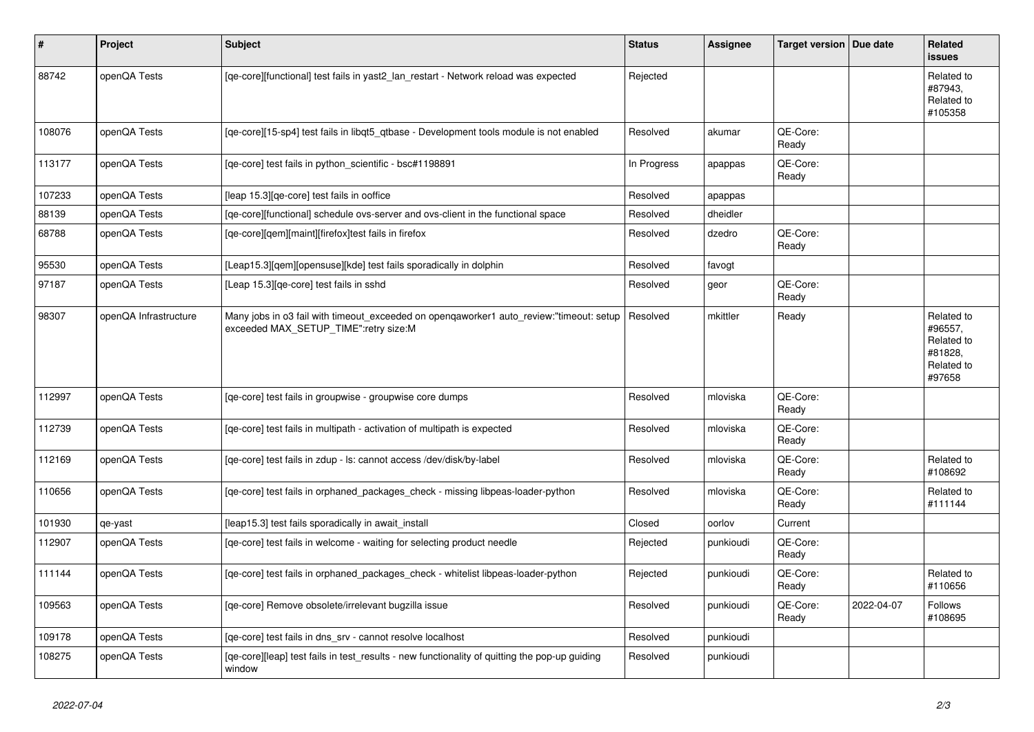| $\vert$ # | <b>Project</b>        | <b>Subject</b>                                                                                                                   | <b>Status</b> | <b>Assignee</b> | Target version   Due date |            | Related<br><b>issues</b>                                               |
|-----------|-----------------------|----------------------------------------------------------------------------------------------------------------------------------|---------------|-----------------|---------------------------|------------|------------------------------------------------------------------------|
| 88742     | openQA Tests          | [qe-core][functional] test fails in yast2_lan_restart - Network reload was expected                                              | Rejected      |                 |                           |            | Related to<br>#87943,<br>Related to<br>#105358                         |
| 108076    | openQA Tests          | [ge-core][15-sp4] test fails in libgt5 gtbase - Development tools module is not enabled                                          | Resolved      | akumar          | QE-Core:<br>Ready         |            |                                                                        |
| 113177    | openQA Tests          | [qe-core] test fails in python_scientific - bsc#1198891                                                                          | In Progress   | apappas         | QE-Core:<br>Ready         |            |                                                                        |
| 107233    | openQA Tests          | [leap 15.3][qe-core] test fails in ooffice                                                                                       | Resolved      | apappas         |                           |            |                                                                        |
| 88139     | openQA Tests          | [qe-core][functional] schedule ovs-server and ovs-client in the functional space                                                 | Resolved      | dheidler        |                           |            |                                                                        |
| 68788     | openQA Tests          | [qe-core][qem][maint][firefox]test fails in firefox                                                                              | Resolved      | dzedro          | QE-Core:<br>Ready         |            |                                                                        |
| 95530     | openQA Tests          | [Leap15.3][qem][opensuse][kde] test fails sporadically in dolphin                                                                | Resolved      | favogt          |                           |            |                                                                        |
| 97187     | openQA Tests          | [Leap 15.3][qe-core] test fails in sshd                                                                                          | Resolved      | geor            | QE-Core:<br>Ready         |            |                                                                        |
| 98307     | openQA Infrastructure | Many jobs in o3 fail with timeout_exceeded on openqaworker1 auto_review:"timeout: setup<br>exceeded MAX_SETUP_TIME":retry size:M | Resolved      | mkittler        | Ready                     |            | Related to<br>#96557,<br>Related to<br>#81828,<br>Related to<br>#97658 |
| 112997    | openQA Tests          | [ge-core] test fails in groupwise - groupwise core dumps                                                                         | Resolved      | mloviska        | QE-Core:<br>Ready         |            |                                                                        |
| 112739    | openQA Tests          | [ge-core] test fails in multipath - activation of multipath is expected                                                          | Resolved      | mloviska        | QE-Core:<br>Ready         |            |                                                                        |
| 112169    | openQA Tests          | [qe-core] test fails in zdup - ls: cannot access /dev/disk/by-label                                                              | Resolved      | mloviska        | QE-Core:<br>Ready         |            | Related to<br>#108692                                                  |
| 110656    | openQA Tests          | [qe-core] test fails in orphaned_packages_check - missing libpeas-loader-python                                                  | Resolved      | mloviska        | QE-Core:<br>Ready         |            | Related to<br>#111144                                                  |
| 101930    | qe-yast               | [leap15.3] test fails sporadically in await_install                                                                              | Closed        | oorlov          | Current                   |            |                                                                        |
| 112907    | openQA Tests          | [qe-core] test fails in welcome - waiting for selecting product needle                                                           | Rejected      | punkioudi       | QE-Core:<br>Ready         |            |                                                                        |
| 111144    | openQA Tests          | [qe-core] test fails in orphaned_packages_check - whitelist libpeas-loader-python                                                | Rejected      | punkioudi       | QE-Core:<br>Ready         |            | Related to<br>#110656                                                  |
| 109563    | openQA Tests          | [ge-core] Remove obsolete/irrelevant bugzilla issue                                                                              | Resolved      | punkioudi       | QE-Core:<br>Ready         | 2022-04-07 | Follows<br>#108695                                                     |
| 109178    | openQA Tests          | [qe-core] test fails in dns_srv - cannot resolve localhost                                                                       | Resolved      | punkioudi       |                           |            |                                                                        |
| 108275    | openQA Tests          | [qe-core][leap] test fails in test_results - new functionality of quitting the pop-up guiding<br>window                          | Resolved      | punkioudi       |                           |            |                                                                        |